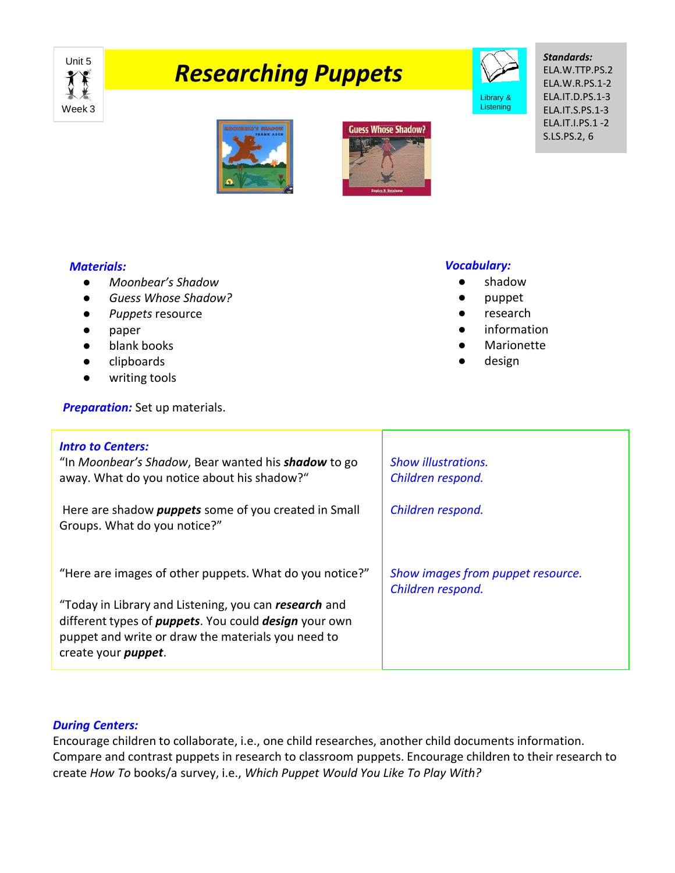

# **TARESEART CONTROLLER**



# *Standards:*

ELA.W.TTP.PS.2 ELA.W.R.PS.1-2 ELA.IT.D.PS.1-3 ELA.IT.S.PS.1-3 ELA.IT.I.PS.1 -2 S.LS.PS.2, 6





## *Materials:*

- *Moonbear's Shadow*
- *Guess Whose Shadow?*
- *Puppets* resource
- paper
- blank books
- clipboards
- writing tools

**Preparation:** Set up materials.

#### *Vocabulary:*

- shadow
- puppet
- research
- information
- Marionette
- design

| <b>Intro to Centers:</b><br>"In Moonbear's Shadow, Bear wanted his <b>shadow</b> to go<br>away. What do you notice about his shadow?"                                                                              | <b>Show illustrations.</b><br>Children respond.        |
|--------------------------------------------------------------------------------------------------------------------------------------------------------------------------------------------------------------------|--------------------------------------------------------|
| Here are shadow <i>puppets</i> some of you created in Small<br>Groups. What do you notice?"                                                                                                                        | Children respond.                                      |
| "Here are images of other puppets. What do you notice?"                                                                                                                                                            | Show images from puppet resource.<br>Children respond. |
| "Today in Library and Listening, you can research and<br>different types of <i>puppets</i> . You could <i>design</i> your own<br>puppet and write or draw the materials you need to<br>create your <i>puppet</i> . |                                                        |

### *During Centers:*

Encourage children to collaborate, i.e., one child researches, another child documents information. Compare and contrast puppets in research to classroom puppets. Encourage children to their research to create *How To* books/a survey, i.e., *Which Puppet Would You Like To Play With?*